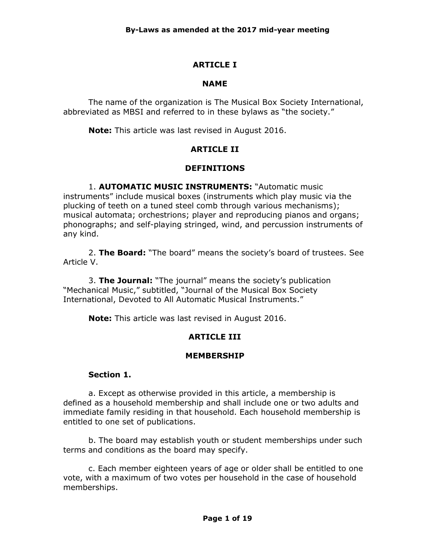# **ARTICLE I**

#### **NAME**

The name of the organization is The Musical Box Society International, abbreviated as MBSI and referred to in these bylaws as "the society."

**Note:** This article was last revised in August 2016.

## **ARTICLE II**

#### **DEFINITIONS**

1. **AUTOMATIC MUSIC INSTRUMENTS:** "Automatic music instruments" include musical boxes (instruments which play music via the plucking of teeth on a tuned steel comb through various mechanisms); musical automata; orchestrions; player and reproducing pianos and organs; phonographs; and self-playing stringed, wind, and percussion instruments of any kind.

2. **The Board:** "The board" means the society's board of trustees. See Article V.

3. **The Journal:** "The journal" means the society's publication "Mechanical Music," subtitled, "Journal of the Musical Box Society International, Devoted to All Automatic Musical Instruments."

**Note:** This article was last revised in August 2016.

# **ARTICLE III**

#### **MEMBERSHIP**

#### **Section 1.**

a. Except as otherwise provided in this article, a membership is defined as a household membership and shall include one or two adults and immediate family residing in that household. Each household membership is entitled to one set of publications.

b. The board may establish youth or student memberships under such terms and conditions as the board may specify.

c. Each member eighteen years of age or older shall be entitled to one vote, with a maximum of two votes per household in the case of household memberships.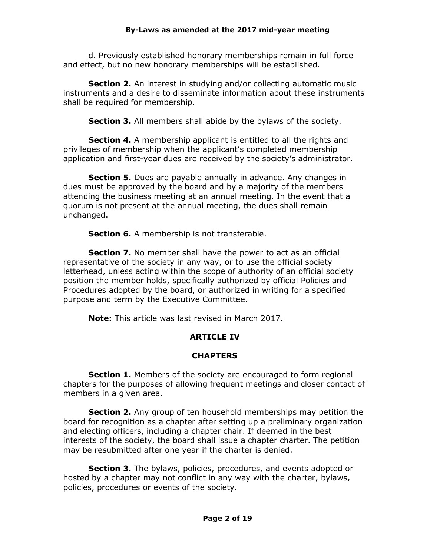d. Previously established honorary memberships remain in full force and effect, but no new honorary memberships will be established.

**Section 2.** An interest in studying and/or collecting automatic music instruments and a desire to disseminate information about these instruments shall be required for membership.

**Section 3.** All members shall abide by the bylaws of the society.

**Section 4.** A membership applicant is entitled to all the rights and privileges of membership when the applicant's completed membership application and first-year dues are received by the society's administrator.

**Section 5.** Dues are payable annually in advance. Any changes in dues must be approved by the board and by a majority of the members attending the business meeting at an annual meeting. In the event that a quorum is not present at the annual meeting, the dues shall remain unchanged.

**Section 6.** A membership is not transferable.

**Section 7.** No member shall have the power to act as an official representative of the society in any way, or to use the official society letterhead, unless acting within the scope of authority of an official society position the member holds, specifically authorized by official Policies and Procedures adopted by the board, or authorized in writing for a specified purpose and term by the Executive Committee.

**Note:** This article was last revised in March 2017.

# **ARTICLE IV**

# **CHAPTERS**

**Section 1.** Members of the society are encouraged to form regional chapters for the purposes of allowing frequent meetings and closer contact of members in a given area.

**Section 2.** Any group of ten household memberships may petition the board for recognition as a chapter after setting up a preliminary organization and electing officers, including a chapter chair. If deemed in the best interests of the society, the board shall issue a chapter charter. The petition may be resubmitted after one year if the charter is denied.

**Section 3.** The bylaws, policies, procedures, and events adopted or hosted by a chapter may not conflict in any way with the charter, bylaws, policies, procedures or events of the society.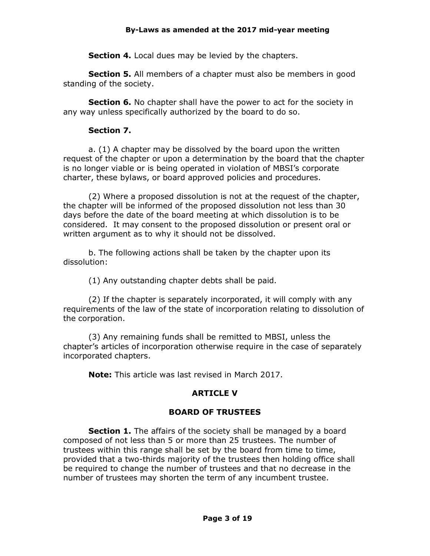**Section 4.** Local dues may be levied by the chapters.

**Section 5.** All members of a chapter must also be members in good standing of the society.

**Section 6.** No chapter shall have the power to act for the society in any way unless specifically authorized by the board to do so.

#### **Section 7.**

a. (1) A chapter may be dissolved by the board upon the written request of the chapter or upon a determination by the board that the chapter is no longer viable or is being operated in violation of MBSI's corporate charter, these bylaws, or board approved policies and procedures.

(2) Where a proposed dissolution is not at the request of the chapter, the chapter will be informed of the proposed dissolution not less than 30 days before the date of the board meeting at which dissolution is to be considered. It may consent to the proposed dissolution or present oral or written argument as to why it should not be dissolved.

b. The following actions shall be taken by the chapter upon its dissolution:

(1) Any outstanding chapter debts shall be paid.

(2) If the chapter is separately incorporated, it will comply with any requirements of the law of the state of incorporation relating to dissolution of the corporation.

(3) Any remaining funds shall be remitted to MBSI, unless the chapter's articles of incorporation otherwise require in the case of separately incorporated chapters.

**Note:** This article was last revised in March 2017.

# **ARTICLE V**

#### **BOARD OF TRUSTEES**

**Section 1.** The affairs of the society shall be managed by a board composed of not less than 5 or more than 25 trustees. The number of trustees within this range shall be set by the board from time to time, provided that a two-thirds majority of the trustees then holding office shall be required to change the number of trustees and that no decrease in the number of trustees may shorten the term of any incumbent trustee.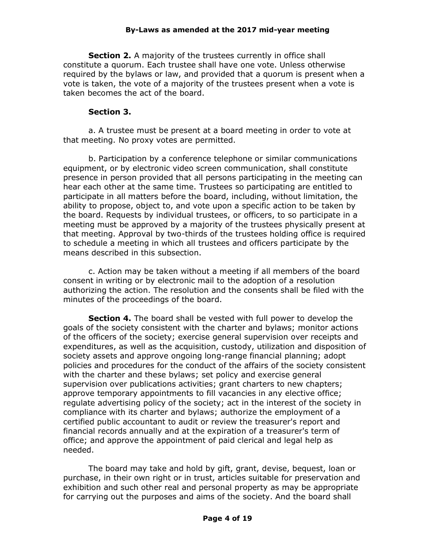**Section 2.** A majority of the trustees currently in office shall constitute a quorum. Each trustee shall have one vote. Unless otherwise required by the bylaws or law, and provided that a quorum is present when a vote is taken, the vote of a majority of the trustees present when a vote is taken becomes the act of the board.

#### **Section 3.**

a. A trustee must be present at a board meeting in order to vote at that meeting. No proxy votes are permitted.

b. Participation by a conference telephone or similar communications equipment, or by electronic video screen communication, shall constitute presence in person provided that all persons participating in the meeting can hear each other at the same time. Trustees so participating are entitled to participate in all matters before the board, including, without limitation, the ability to propose, object to, and vote upon a specific action to be taken by the board. Requests by individual trustees, or officers, to so participate in a meeting must be approved by a majority of the trustees physically present at that meeting. Approval by two-thirds of the trustees holding office is required to schedule a meeting in which all trustees and officers participate by the means described in this subsection.

c. Action may be taken without a meeting if all members of the board consent in writing or by electronic mail to the adoption of a resolution authorizing the action. The resolution and the consents shall be filed with the minutes of the proceedings of the board.

**Section 4.** The board shall be vested with full power to develop the goals of the society consistent with the charter and bylaws; monitor actions of the officers of the society; exercise general supervision over receipts and expenditures, as well as the acquisition, custody, utilization and disposition of society assets and approve ongoing long-range financial planning; adopt policies and procedures for the conduct of the affairs of the society consistent with the charter and these bylaws; set policy and exercise general supervision over publications activities; grant charters to new chapters; approve temporary appointments to fill vacancies in any elective office; regulate advertising policy of the society; act in the interest of the society in compliance with its charter and bylaws; authorize the employment of a certified public accountant to audit or review the treasurer's report and financial records annually and at the expiration of a treasurer's term of office; and approve the appointment of paid clerical and legal help as needed.

The board may take and hold by gift, grant, devise, bequest, loan or purchase, in their own right or in trust, articles suitable for preservation and exhibition and such other real and personal property as may be appropriate for carrying out the purposes and aims of the society. And the board shall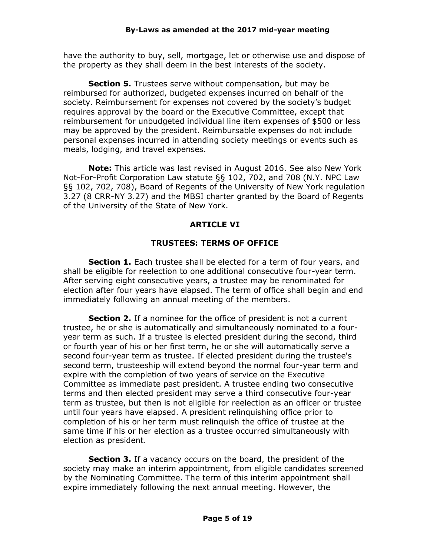have the authority to buy, sell, mortgage, let or otherwise use and dispose of the property as they shall deem in the best interests of the society.

**Section 5.** Trustees serve without compensation, but may be reimbursed for authorized, budgeted expenses incurred on behalf of the society. Reimbursement for expenses not covered by the society's budget requires approval by the board or the Executive Committee, except that reimbursement for unbudgeted individual line item expenses of \$500 or less may be approved by the president. Reimbursable expenses do not include personal expenses incurred in attending society meetings or events such as meals, lodging, and travel expenses.

**Note:** This article was last revised in August 2016. See also New York Not-For-Profit Corporation Law statute §§ 102, 702, and 708 (N.Y. NPC Law §§ 102, 702, 708), Board of Regents of the University of New York regulation 3.27 (8 CRR-NY 3.27) and the MBSI charter granted by the Board of Regents of the University of the State of New York.

## **ARTICLE VI**

#### **TRUSTEES: TERMS OF OFFICE**

**Section 1.** Each trustee shall be elected for a term of four years, and shall be eligible for reelection to one additional consecutive four-year term. After serving eight consecutive years, a trustee may be renominated for election after four years have elapsed. The term of office shall begin and end immediately following an annual meeting of the members.

**Section 2.** If a nominee for the office of president is not a current trustee, he or she is automatically and simultaneously nominated to a fouryear term as such. If a trustee is elected president during the second, third or fourth year of his or her first term, he or she will automatically serve a second four-year term as trustee. If elected president during the trustee's second term, trusteeship will extend beyond the normal four-year term and expire with the completion of two years of service on the Executive Committee as immediate past president. A trustee ending two consecutive terms and then elected president may serve a third consecutive four-year term as trustee, but then is not eligible for reelection as an officer or trustee until four years have elapsed. A president relinquishing office prior to completion of his or her term must relinquish the office of trustee at the same time if his or her election as a trustee occurred simultaneously with election as president.

**Section 3.** If a vacancy occurs on the board, the president of the society may make an interim appointment, from eligible candidates screened by the Nominating Committee. The term of this interim appointment shall expire immediately following the next annual meeting. However, the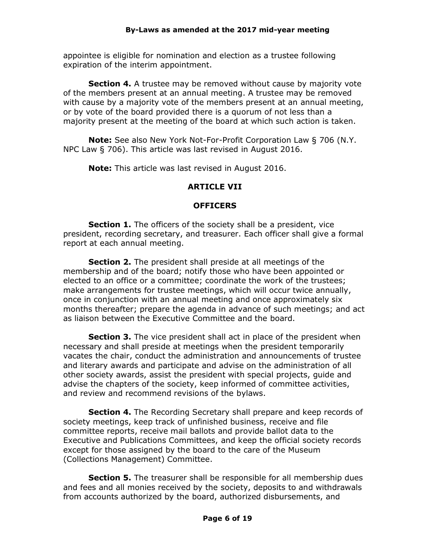appointee is eligible for nomination and election as a trustee following expiration of the interim appointment.

**Section 4.** A trustee may be removed without cause by majority vote of the members present at an annual meeting. A trustee may be removed with cause by a majority vote of the members present at an annual meeting, or by vote of the board provided there is a quorum of not less than a majority present at the meeting of the board at which such action is taken.

**Note:** See also New York Not-For-Profit Corporation Law § 706 (N.Y. NPC Law § 706). This article was last revised in August 2016.

**Note:** This article was last revised in August 2016.

## **ARTICLE VII**

#### **OFFICERS**

**Section 1.** The officers of the society shall be a president, vice president, recording secretary, and treasurer. Each officer shall give a formal report at each annual meeting.

**Section 2.** The president shall preside at all meetings of the membership and of the board; notify those who have been appointed or elected to an office or a committee; coordinate the work of the trustees; make arrangements for trustee meetings, which will occur twice annually, once in conjunction with an annual meeting and once approximately six months thereafter; prepare the agenda in advance of such meetings; and act as liaison between the Executive Committee and the board.

**Section 3.** The vice president shall act in place of the president when necessary and shall preside at meetings when the president temporarily vacates the chair, conduct the administration and announcements of trustee and literary awards and participate and advise on the administration of all other society awards, assist the president with special projects, guide and advise the chapters of the society, keep informed of committee activities, and review and recommend revisions of the bylaws.

**Section 4.** The Recording Secretary shall prepare and keep records of society meetings, keep track of unfinished business, receive and file committee reports, receive mail ballots and provide ballot data to the Executive and Publications Committees, and keep the official society records except for those assigned by the board to the care of the Museum (Collections Management) Committee.

**Section 5.** The treasurer shall be responsible for all membership dues and fees and all monies received by the society, deposits to and withdrawals from accounts authorized by the board, authorized disbursements, and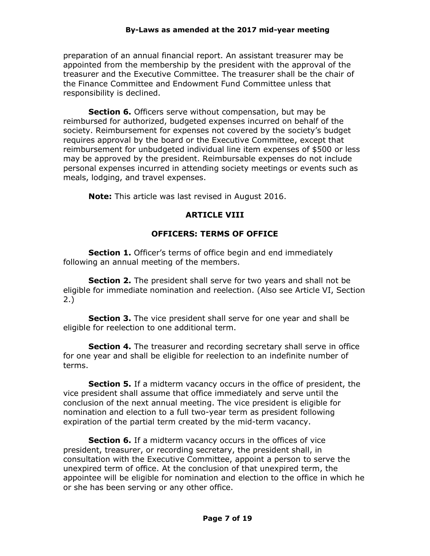preparation of an annual financial report. An assistant treasurer may be appointed from the membership by the president with the approval of the treasurer and the Executive Committee. The treasurer shall be the chair of the Finance Committee and Endowment Fund Committee unless that responsibility is declined.

**Section 6.** Officers serve without compensation, but may be reimbursed for authorized, budgeted expenses incurred on behalf of the society. Reimbursement for expenses not covered by the society's budget requires approval by the board or the Executive Committee, except that reimbursement for unbudgeted individual line item expenses of \$500 or less may be approved by the president. Reimbursable expenses do not include personal expenses incurred in attending society meetings or events such as meals, lodging, and travel expenses.

**Note:** This article was last revised in August 2016.

## **ARTICLE VIII**

# **OFFICERS: TERMS OF OFFICE**

**Section 1.** Officer's terms of office begin and end immediately following an annual meeting of the members.

**Section 2.** The president shall serve for two years and shall not be eligible for immediate nomination and reelection. (Also see Article VI, Section 2.)

**Section 3.** The vice president shall serve for one year and shall be eligible for reelection to one additional term.

**Section 4.** The treasurer and recording secretary shall serve in office for one year and shall be eligible for reelection to an indefinite number of terms.

**Section 5.** If a midterm vacancy occurs in the office of president, the vice president shall assume that office immediately and serve until the conclusion of the next annual meeting. The vice president is eligible for nomination and election to a full two-year term as president following expiration of the partial term created by the mid-term vacancy.

**Section 6.** If a midterm vacancy occurs in the offices of vice president, treasurer, or recording secretary, the president shall, in consultation with the Executive Committee, appoint a person to serve the unexpired term of office. At the conclusion of that unexpired term, the appointee will be eligible for nomination and election to the office in which he or she has been serving or any other office.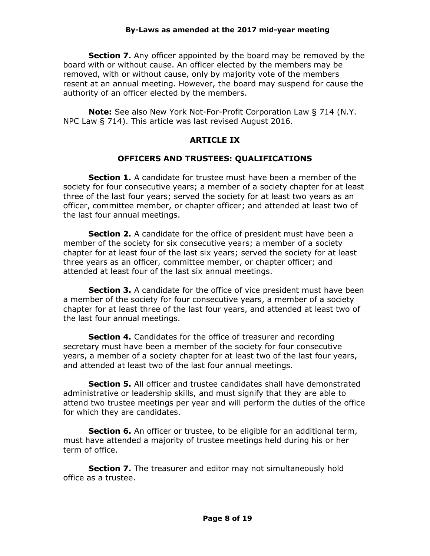**Section 7.** Any officer appointed by the board may be removed by the board with or without cause. An officer elected by the members may be removed, with or without cause, only by majority vote of the members resent at an annual meeting. However, the board may suspend for cause the authority of an officer elected by the members.

**Note:** See also New York Not-For-Profit Corporation Law § 714 (N.Y. NPC Law § 714). This article was last revised August 2016.

## **ARTICLE IX**

## **OFFICERS AND TRUSTEES: QUALIFICATIONS**

**Section 1.** A candidate for trustee must have been a member of the society for four consecutive years; a member of a society chapter for at least three of the last four years; served the society for at least two years as an officer, committee member, or chapter officer; and attended at least two of the last four annual meetings.

**Section 2.** A candidate for the office of president must have been a member of the society for six consecutive years; a member of a society chapter for at least four of the last six years; served the society for at least three years as an officer, committee member, or chapter officer; and attended at least four of the last six annual meetings.

**Section 3.** A candidate for the office of vice president must have been a member of the society for four consecutive years, a member of a society chapter for at least three of the last four years, and attended at least two of the last four annual meetings.

**Section 4.** Candidates for the office of treasurer and recording secretary must have been a member of the society for four consecutive years, a member of a society chapter for at least two of the last four years, and attended at least two of the last four annual meetings.

**Section 5.** All officer and trustee candidates shall have demonstrated administrative or leadership skills, and must signify that they are able to attend two trustee meetings per year and will perform the duties of the office for which they are candidates.

**Section 6.** An officer or trustee, to be eligible for an additional term, must have attended a majority of trustee meetings held during his or her term of office.

**Section 7.** The treasurer and editor may not simultaneously hold office as a trustee.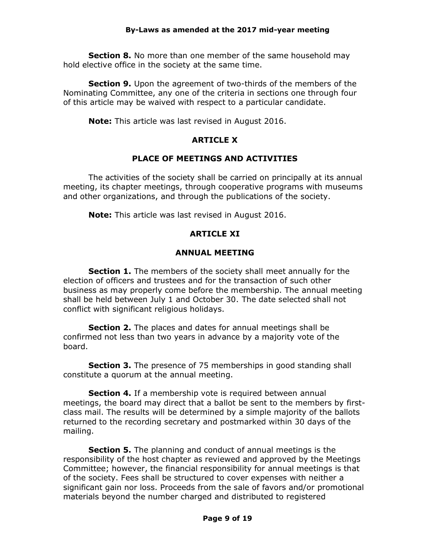**Section 8.** No more than one member of the same household may hold elective office in the society at the same time.

**Section 9.** Upon the agreement of two-thirds of the members of the Nominating Committee, any one of the criteria in sections one through four of this article may be waived with respect to a particular candidate.

**Note:** This article was last revised in August 2016.

## **ARTICLE X**

## **PLACE OF MEETINGS AND ACTIVITIES**

The activities of the society shall be carried on principally at its annual meeting, its chapter meetings, through cooperative programs with museums and other organizations, and through the publications of the society.

**Note:** This article was last revised in August 2016.

# **ARTICLE XI**

## **ANNUAL MEETING**

**Section 1.** The members of the society shall meet annually for the election of officers and trustees and for the transaction of such other business as may properly come before the membership. The annual meeting shall be held between July 1 and October 30. The date selected shall not conflict with significant religious holidays.

**Section 2.** The places and dates for annual meetings shall be confirmed not less than two years in advance by a majority vote of the board.

**Section 3.** The presence of 75 memberships in good standing shall constitute a quorum at the annual meeting.

**Section 4.** If a membership vote is required between annual meetings, the board may direct that a ballot be sent to the members by firstclass mail. The results will be determined by a simple majority of the ballots returned to the recording secretary and postmarked within 30 days of the mailing.

**Section 5.** The planning and conduct of annual meetings is the responsibility of the host chapter as reviewed and approved by the Meetings Committee; however, the financial responsibility for annual meetings is that of the society. Fees shall be structured to cover expenses with neither a significant gain nor loss. Proceeds from the sale of favors and/or promotional materials beyond the number charged and distributed to registered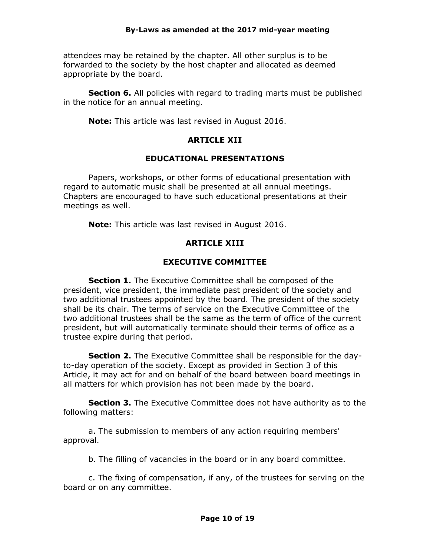attendees may be retained by the chapter. All other surplus is to be forwarded to the society by the host chapter and allocated as deemed appropriate by the board.

**Section 6.** All policies with regard to trading marts must be published in the notice for an annual meeting.

**Note:** This article was last revised in August 2016.

## **ARTICLE XII**

## **EDUCATIONAL PRESENTATIONS**

Papers, workshops, or other forms of educational presentation with regard to automatic music shall be presented at all annual meetings. Chapters are encouraged to have such educational presentations at their meetings as well.

**Note:** This article was last revised in August 2016.

# **ARTICLE XIII**

# **EXECUTIVE COMMITTEE**

**Section 1.** The Executive Committee shall be composed of the president, vice president, the immediate past president of the society and two additional trustees appointed by the board. The president of the society shall be its chair. The terms of service on the Executive Committee of the two additional trustees shall be the same as the term of office of the current president, but will automatically terminate should their terms of office as a trustee expire during that period.

**Section 2.** The Executive Committee shall be responsible for the dayto-day operation of the society. Except as provided in Section 3 of this Article, it may act for and on behalf of the board between board meetings in all matters for which provision has not been made by the board.

**Section 3.** The Executive Committee does not have authority as to the following matters:

a. The submission to members of any action requiring members' approval.

b. The filling of vacancies in the board or in any board committee.

c. The fixing of compensation, if any, of the trustees for serving on the board or on any committee.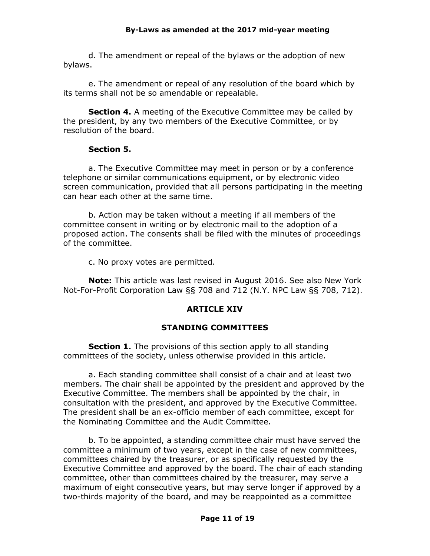d. The amendment or repeal of the bylaws or the adoption of new bylaws.

e. The amendment or repeal of any resolution of the board which by its terms shall not be so amendable or repealable.

**Section 4.** A meeting of the Executive Committee may be called by the president, by any two members of the Executive Committee, or by resolution of the board.

#### **Section 5.**

a. The Executive Committee may meet in person or by a conference telephone or similar communications equipment, or by electronic video screen communication, provided that all persons participating in the meeting can hear each other at the same time.

b. Action may be taken without a meeting if all members of the committee consent in writing or by electronic mail to the adoption of a proposed action. The consents shall be filed with the minutes of proceedings of the committee.

c. No proxy votes are permitted.

**Note:** This article was last revised in August 2016. See also New York Not-For-Profit Corporation Law §§ 708 and 712 (N.Y. NPC Law §§ 708, 712).

#### **ARTICLE XIV**

#### **STANDING COMMITTEES**

**Section 1.** The provisions of this section apply to all standing committees of the society, unless otherwise provided in this article.

a. Each standing committee shall consist of a chair and at least two members. The chair shall be appointed by the president and approved by the Executive Committee. The members shall be appointed by the chair, in consultation with the president, and approved by the Executive Committee. The president shall be an ex-officio member of each committee, except for the Nominating Committee and the Audit Committee.

b. To be appointed, a standing committee chair must have served the committee a minimum of two years, except in the case of new committees, committees chaired by the treasurer, or as specifically requested by the Executive Committee and approved by the board. The chair of each standing committee, other than committees chaired by the treasurer, may serve a maximum of eight consecutive years, but may serve longer if approved by a two-thirds majority of the board, and may be reappointed as a committee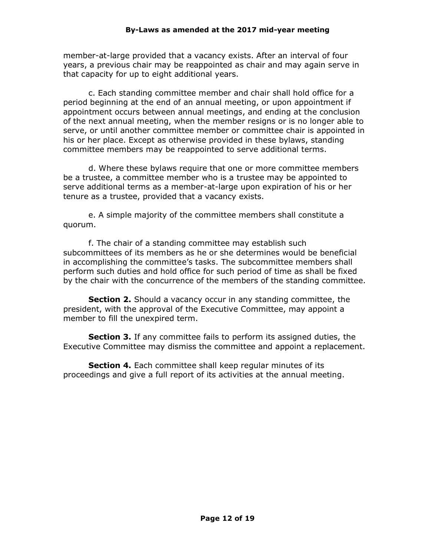member-at-large provided that a vacancy exists. After an interval of four years, a previous chair may be reappointed as chair and may again serve in that capacity for up to eight additional years.

c. Each standing committee member and chair shall hold office for a period beginning at the end of an annual meeting, or upon appointment if appointment occurs between annual meetings, and ending at the conclusion of the next annual meeting, when the member resigns or is no longer able to serve, or until another committee member or committee chair is appointed in his or her place. Except as otherwise provided in these bylaws, standing committee members may be reappointed to serve additional terms.

d. Where these bylaws require that one or more committee members be a trustee, a committee member who is a trustee may be appointed to serve additional terms as a member-at-large upon expiration of his or her tenure as a trustee, provided that a vacancy exists.

e. A simple majority of the committee members shall constitute a quorum.

f. The chair of a standing committee may establish such subcommittees of its members as he or she determines would be beneficial in accomplishing the committee's tasks. The subcommittee members shall perform such duties and hold office for such period of time as shall be fixed by the chair with the concurrence of the members of the standing committee.

**Section 2.** Should a vacancy occur in any standing committee, the president, with the approval of the Executive Committee, may appoint a member to fill the unexpired term.

**Section 3.** If any committee fails to perform its assigned duties, the Executive Committee may dismiss the committee and appoint a replacement.

**Section 4.** Each committee shall keep regular minutes of its proceedings and give a full report of its activities at the annual meeting.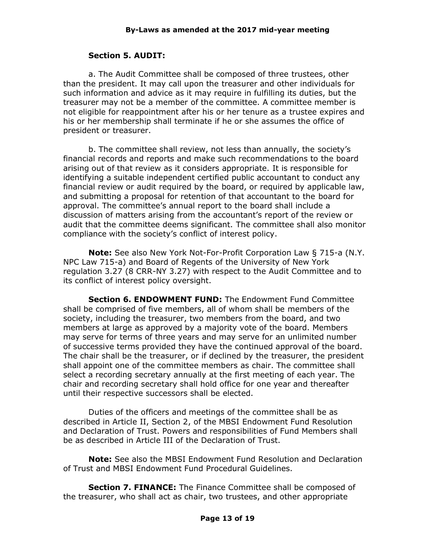## **Section 5. AUDIT:**

a. The Audit Committee shall be composed of three trustees, other than the president. It may call upon the treasurer and other individuals for such information and advice as it may require in fulfilling its duties, but the treasurer may not be a member of the committee. A committee member is not eligible for reappointment after his or her tenure as a trustee expires and his or her membership shall terminate if he or she assumes the office of president or treasurer.

b. The committee shall review, not less than annually, the society's financial records and reports and make such recommendations to the board arising out of that review as it considers appropriate. It is responsible for identifying a suitable independent certified public accountant to conduct any financial review or audit required by the board, or required by applicable law, and submitting a proposal for retention of that accountant to the board for approval. The committee's annual report to the board shall include a discussion of matters arising from the accountant's report of the review or audit that the committee deems significant. The committee shall also monitor compliance with the society's conflict of interest policy.

**Note:** See also New York Not-For-Profit Corporation Law § 715-a (N.Y. NPC Law 715-a) and Board of Regents of the University of New York regulation 3.27 (8 CRR-NY 3.27) with respect to the Audit Committee and to its conflict of interest policy oversight.

**Section 6. ENDOWMENT FUND:** The Endowment Fund Committee shall be comprised of five members, all of whom shall be members of the society, including the treasurer, two members from the board, and two members at large as approved by a majority vote of the board. Members may serve for terms of three years and may serve for an unlimited number of successive terms provided they have the continued approval of the board. The chair shall be the treasurer, or if declined by the treasurer, the president shall appoint one of the committee members as chair. The committee shall select a recording secretary annually at the first meeting of each year. The chair and recording secretary shall hold office for one year and thereafter until their respective successors shall be elected.

Duties of the officers and meetings of the committee shall be as described in Article II, Section 2, of the MBSI Endowment Fund Resolution and Declaration of Trust. Powers and responsibilities of Fund Members shall be as described in Article III of the Declaration of Trust.

**Note:** See also the MBSI Endowment Fund Resolution and Declaration of Trust and MBSI Endowment Fund Procedural Guidelines.

**Section 7. FINANCE:** The Finance Committee shall be composed of the treasurer, who shall act as chair, two trustees, and other appropriate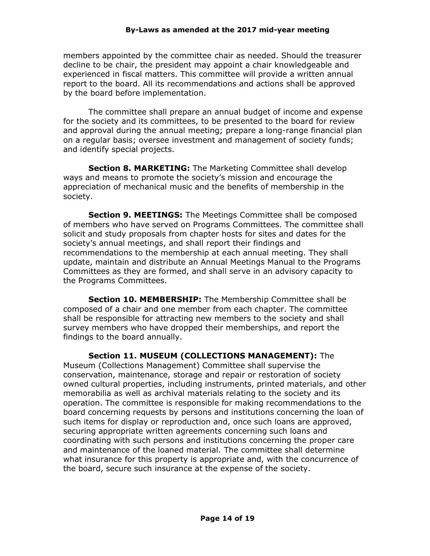members appointed by the committee chair as needed. Should the treasurer decline to be chair, the president may appoint a chair knowledgeable and experienced in fiscal matters. This committee will provide a written annual report to the board. All its recommendations and actions shall be approved by the board before implementation.

The committee shall prepare an annual budget of income and expense for the society and its committees, to be presented to the board for review and approval during the annual meeting; prepare a long-range financial plan on a regular basis; oversee investment and management of society funds; and identify special projects.

**Section 8. MARKETING:** The Marketing Committee shall develop ways and means to promote the society's mission and encourage the appreciation of mechanical music and the benefits of membership in the society.

**Section 9. MEETINGS:** The Meetings Committee shall be composed of members who have served on Programs Committees. The committee shall solicit and study proposals from chapter hosts for sites and dates for the society's annual meetings, and shall report their findings and recommendations to the membership at each annual meeting. They shall update, maintain and distribute an Annual Meetings Manual to the Programs Committees as they are formed, and shall serve in an advisory capacity to the Programs Committees.

**Section 10. MEMBERSHIP:** The Membership Committee shall be composed of a chair and one member from each chapter. The committee shall be responsible for attracting new members to the society and shall survey members who have dropped their memberships, and report the findings to the board annually.

**Section 11. MUSEUM (COLLECTIONS MANAGEMENT):** The Museum (Collections Management) Committee shall supervise the conservation, maintenance, storage and repair or restoration of society owned cultural properties, including instruments, printed materials, and other memorabilia as well as archival materials relating to the society and its operation. The committee is responsible for making recommendations to the board concerning requests by persons and institutions concerning the loan of such items for display or reproduction and, once such loans are approved, securing appropriate written agreements concerning such loans and coordinating with such persons and institutions concerning the proper care and maintenance of the loaned material. The committee shall determine what insurance for this property is appropriate and, with the concurrence of the board, secure such insurance at the expense of the society.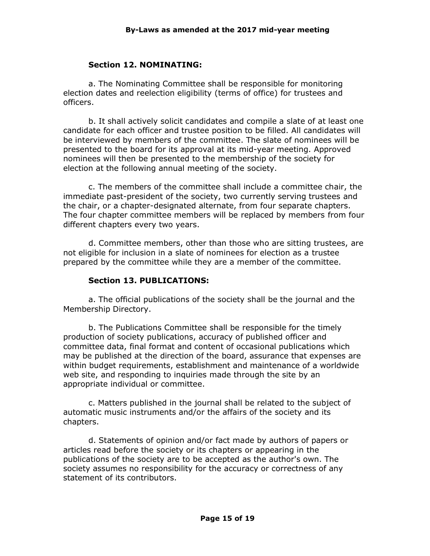#### **Section 12. NOMINATING:**

a. The Nominating Committee shall be responsible for monitoring election dates and reelection eligibility (terms of office) for trustees and officers.

b. It shall actively solicit candidates and compile a slate of at least one candidate for each officer and trustee position to be filled. All candidates will be interviewed by members of the committee. The slate of nominees will be presented to the board for its approval at its mid-year meeting. Approved nominees will then be presented to the membership of the society for election at the following annual meeting of the society.

c. The members of the committee shall include a committee chair, the immediate past-president of the society, two currently serving trustees and the chair, or a chapter-designated alternate, from four separate chapters. The four chapter committee members will be replaced by members from four different chapters every two years.

d. Committee members, other than those who are sitting trustees, are not eligible for inclusion in a slate of nominees for election as a trustee prepared by the committee while they are a member of the committee.

#### **Section 13. PUBLICATIONS:**

a. The official publications of the society shall be the journal and the Membership Directory.

b. The Publications Committee shall be responsible for the timely production of society publications, accuracy of published officer and committee data, final format and content of occasional publications which may be published at the direction of the board, assurance that expenses are within budget requirements, establishment and maintenance of a worldwide web site, and responding to inquiries made through the site by an appropriate individual or committee.

c. Matters published in the journal shall be related to the subject of automatic music instruments and/or the affairs of the society and its chapters.

d. Statements of opinion and/or fact made by authors of papers or articles read before the society or its chapters or appearing in the publications of the society are to be accepted as the author's own. The society assumes no responsibility for the accuracy or correctness of any statement of its contributors.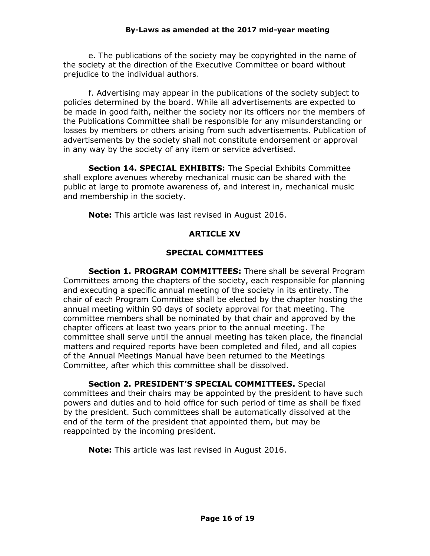e. The publications of the society may be copyrighted in the name of the society at the direction of the Executive Committee or board without prejudice to the individual authors.

f. Advertising may appear in the publications of the society subject to policies determined by the board. While all advertisements are expected to be made in good faith, neither the society nor its officers nor the members of the Publications Committee shall be responsible for any misunderstanding or losses by members or others arising from such advertisements. Publication of advertisements by the society shall not constitute endorsement or approval in any way by the society of any item or service advertised.

**Section 14. SPECIAL EXHIBITS:** The Special Exhibits Committee shall explore avenues whereby mechanical music can be shared with the public at large to promote awareness of, and interest in, mechanical music and membership in the society.

**Note:** This article was last revised in August 2016.

# **ARTICLE XV**

#### **SPECIAL COMMITTEES**

**Section 1. PROGRAM COMMITTEES:** There shall be several Program Committees among the chapters of the society, each responsible for planning and executing a specific annual meeting of the society in its entirety. The chair of each Program Committee shall be elected by the chapter hosting the annual meeting within 90 days of society approval for that meeting. The committee members shall be nominated by that chair and approved by the chapter officers at least two years prior to the annual meeting. The committee shall serve until the annual meeting has taken place, the financial matters and required reports have been completed and filed, and all copies of the Annual Meetings Manual have been returned to the Meetings Committee, after which this committee shall be dissolved.

**Section 2. PRESIDENT'S SPECIAL COMMITTEES.** Special committees and their chairs may be appointed by the president to have such powers and duties and to hold office for such period of time as shall be fixed by the president. Such committees shall be automatically dissolved at the end of the term of the president that appointed them, but may be reappointed by the incoming president.

**Note:** This article was last revised in August 2016.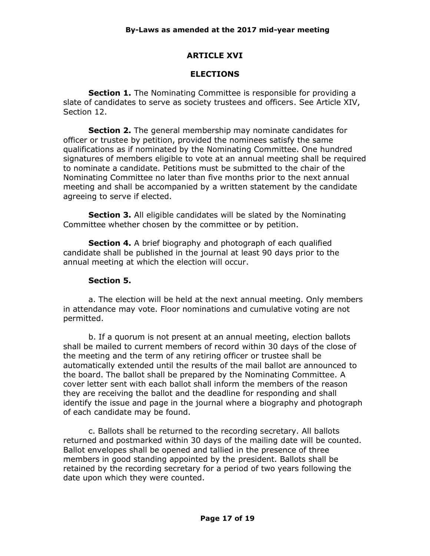#### **ARTICLE XVI**

#### **ELECTIONS**

**Section 1.** The Nominating Committee is responsible for providing a slate of candidates to serve as society trustees and officers. See Article XIV, Section 12.

**Section 2.** The general membership may nominate candidates for officer or trustee by petition, provided the nominees satisfy the same qualifications as if nominated by the Nominating Committee. One hundred signatures of members eligible to vote at an annual meeting shall be required to nominate a candidate. Petitions must be submitted to the chair of the Nominating Committee no later than five months prior to the next annual meeting and shall be accompanied by a written statement by the candidate agreeing to serve if elected.

**Section 3.** All eligible candidates will be slated by the Nominating Committee whether chosen by the committee or by petition.

**Section 4.** A brief biography and photograph of each qualified candidate shall be published in the journal at least 90 days prior to the annual meeting at which the election will occur.

#### **Section 5.**

a. The election will be held at the next annual meeting. Only members in attendance may vote. Floor nominations and cumulative voting are not permitted.

b. If a quorum is not present at an annual meeting, election ballots shall be mailed to current members of record within 30 days of the close of the meeting and the term of any retiring officer or trustee shall be automatically extended until the results of the mail ballot are announced to the board. The ballot shall be prepared by the Nominating Committee. A cover letter sent with each ballot shall inform the members of the reason they are receiving the ballot and the deadline for responding and shall identify the issue and page in the journal where a biography and photograph of each candidate may be found.

c. Ballots shall be returned to the recording secretary. All ballots returned and postmarked within 30 days of the mailing date will be counted. Ballot envelopes shall be opened and tallied in the presence of three members in good standing appointed by the president. Ballots shall be retained by the recording secretary for a period of two years following the date upon which they were counted.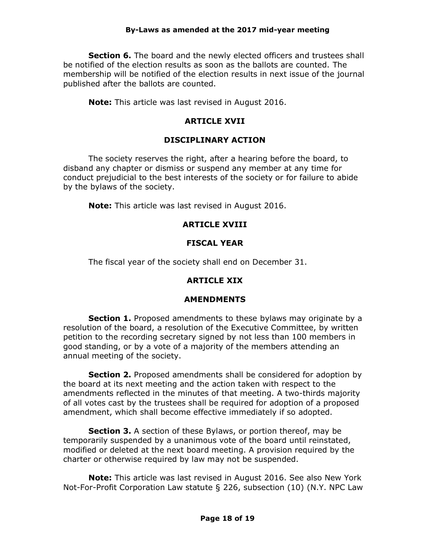**Section 6.** The board and the newly elected officers and trustees shall be notified of the election results as soon as the ballots are counted. The membership will be notified of the election results in next issue of the journal published after the ballots are counted.

**Note:** This article was last revised in August 2016.

## **ARTICLE XVII**

#### **DISCIPLINARY ACTION**

The society reserves the right, after a hearing before the board, to disband any chapter or dismiss or suspend any member at any time for conduct prejudicial to the best interests of the society or for failure to abide by the bylaws of the society.

**Note:** This article was last revised in August 2016.

## **ARTICLE XVIII**

## **FISCAL YEAR**

The fiscal year of the society shall end on December 31.

#### **ARTICLE XIX**

#### **AMENDMENTS**

**Section 1.** Proposed amendments to these bylaws may originate by a resolution of the board, a resolution of the Executive Committee, by written petition to the recording secretary signed by not less than 100 members in good standing, or by a vote of a majority of the members attending an annual meeting of the society.

**Section 2.** Proposed amendments shall be considered for adoption by the board at its next meeting and the action taken with respect to the amendments reflected in the minutes of that meeting. A two-thirds majority of all votes cast by the trustees shall be required for adoption of a proposed amendment, which shall become effective immediately if so adopted.

**Section 3.** A section of these Bylaws, or portion thereof, may be temporarily suspended by a unanimous vote of the board until reinstated, modified or deleted at the next board meeting. A provision required by the charter or otherwise required by law may not be suspended.

**Note:** This article was last revised in August 2016. See also New York Not-For-Profit Corporation Law statute § 226, subsection (10) (N.Y. NPC Law